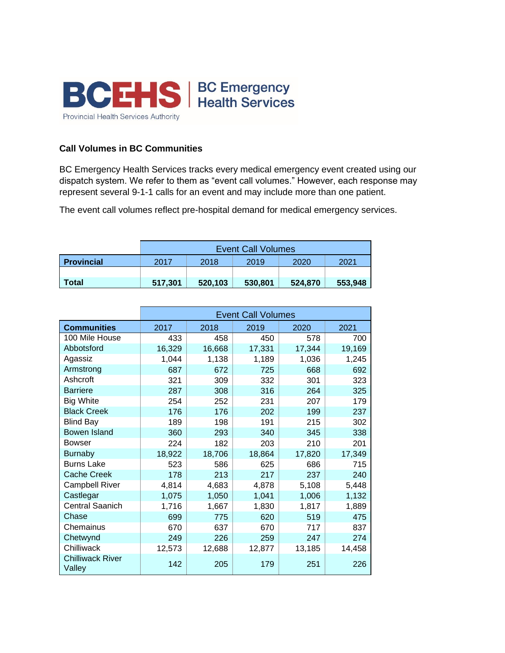

## **Call Volumes in BC Communities**

BC Emergency Health Services tracks every medical emergency event created using our dispatch system. We refer to them as "event call volumes." However, each response may represent several 9-1-1 calls for an event and may include more than one patient.

The event call volumes reflect pre-hospital demand for medical emergency services.

|                   | <b>Event Call Volumes</b> |         |         |         |         |
|-------------------|---------------------------|---------|---------|---------|---------|
| <b>Provincial</b> | 2017                      | 2018    | 2019    | 2020    | 2021    |
|                   |                           |         |         |         |         |
| Total             | 517,301                   | 520,103 | 530,801 | 524,870 | 553,948 |

|                                   | <b>Event Call Volumes</b> |        |        |        |        |
|-----------------------------------|---------------------------|--------|--------|--------|--------|
| <b>Communities</b>                | 2017                      | 2018   | 2019   | 2020   | 2021   |
| 100 Mile House                    | 433                       | 458    | 450    | 578    | 700    |
| Abbotsford                        | 16,329                    | 16,668 | 17,331 | 17,344 | 19,169 |
| Agassiz                           | 1,044                     | 1,138  | 1,189  | 1,036  | 1,245  |
| Armstrong                         | 687                       | 672    | 725    | 668    | 692    |
| Ashcroft                          | 321                       | 309    | 332    | 301    | 323    |
| <b>Barriere</b>                   | 287                       | 308    | 316    | 264    | 325    |
| <b>Big White</b>                  | 254                       | 252    | 231    | 207    | 179    |
| <b>Black Creek</b>                | 176                       | 176    | 202    | 199    | 237    |
| <b>Blind Bay</b>                  | 189                       | 198    | 191    | 215    | 302    |
| Bowen Island                      | 360                       | 293    | 340    | 345    | 338    |
| <b>Bowser</b>                     | 224                       | 182    | 203    | 210    | 201    |
| <b>Burnaby</b>                    | 18,922                    | 18,706 | 18,864 | 17,820 | 17,349 |
| <b>Burns Lake</b>                 | 523                       | 586    | 625    | 686    | 715    |
| <b>Cache Creek</b>                | 178                       | 213    | 217    | 237    | 240    |
| <b>Campbell River</b>             | 4,814                     | 4,683  | 4,878  | 5,108  | 5,448  |
| Castlegar                         | 1,075                     | 1,050  | 1,041  | 1,006  | 1,132  |
| <b>Central Saanich</b>            | 1,716                     | 1,667  | 1,830  | 1,817  | 1,889  |
| Chase                             | 699                       | 775    | 620    | 519    | 475    |
| Chemainus                         | 670                       | 637    | 670    | 717    | 837    |
| Chetwynd                          | 249                       | 226    | 259    | 247    | 274    |
| Chilliwack                        | 12,573                    | 12,688 | 12,877 | 13,185 | 14,458 |
| <b>Chilliwack River</b><br>Valley | 142                       | 205    | 179    | 251    | 226    |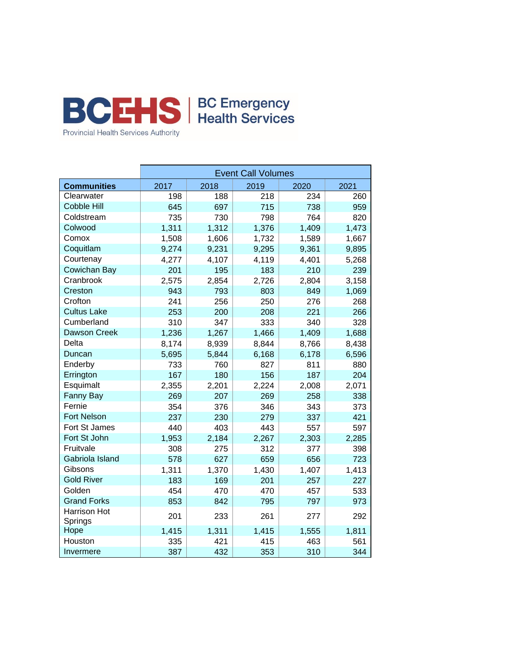

|                         | <b>Event Call Volumes</b> |       |       |       |       |  |
|-------------------------|---------------------------|-------|-------|-------|-------|--|
| <b>Communities</b>      | 2017                      | 2018  | 2019  | 2020  | 2021  |  |
| Clearwater              | 198                       | 188   | 218   | 234   | 260   |  |
| <b>Cobble Hill</b>      | 645                       | 697   | 715   | 738   | 959   |  |
| Coldstream              | 735                       | 730   | 798   | 764   | 820   |  |
| Colwood                 | 1,311                     | 1,312 | 1,376 | 1,409 | 1,473 |  |
| Comox                   | 1,508                     | 1,606 | 1,732 | 1,589 | 1,667 |  |
| Coquitlam               | 9,274                     | 9,231 | 9,295 | 9,361 | 9,895 |  |
| Courtenay               | 4,277                     | 4,107 | 4,119 | 4,401 | 5,268 |  |
| Cowichan Bay            | 201                       | 195   | 183   | 210   | 239   |  |
| Cranbrook               | 2,575                     | 2,854 | 2,726 | 2,804 | 3,158 |  |
| Creston                 | 943                       | 793   | 803   | 849   | 1,069 |  |
| Crofton                 | 241                       | 256   | 250   | 276   | 268   |  |
| <b>Cultus Lake</b>      | 253                       | 200   | 208   | 221   | 266   |  |
| Cumberland              | 310                       | 347   | 333   | 340   | 328   |  |
| Dawson Creek            | 1,236                     | 1,267 | 1,466 | 1,409 | 1,688 |  |
| Delta                   | 8,174                     | 8,939 | 8,844 | 8,766 | 8,438 |  |
| Duncan                  | 5,695                     | 5,844 | 6,168 | 6,178 | 6,596 |  |
| Enderby                 | 733                       | 760   | 827   | 811   | 880   |  |
| Errington               | 167                       | 180   | 156   | 187   | 204   |  |
| Esquimalt               | 2,355                     | 2,201 | 2,224 | 2,008 | 2,071 |  |
| <b>Fanny Bay</b>        | 269                       | 207   | 269   | 258   | 338   |  |
| Fernie                  | 354                       | 376   | 346   | 343   | 373   |  |
| <b>Fort Nelson</b>      | 237                       | 230   | 279   | 337   | 421   |  |
| Fort St James           | 440                       | 403   | 443   | 557   | 597   |  |
| Fort St John            | 1,953                     | 2,184 | 2,267 | 2,303 | 2,285 |  |
| Fruitvale               | 308                       | 275   | 312   | 377   | 398   |  |
| Gabriola Island         | 578                       | 627   | 659   | 656   | 723   |  |
| Gibsons                 | 1,311                     | 1,370 | 1,430 | 1,407 | 1,413 |  |
| <b>Gold River</b>       | 183                       | 169   | 201   | 257   | 227   |  |
| Golden                  | 454                       | 470   | 470   | 457   | 533   |  |
| <b>Grand Forks</b>      | 853                       | 842   | 795   | 797   | 973   |  |
| Harrison Hot<br>Springs | 201                       | 233   | 261   | 277   | 292   |  |
| Hope                    | 1,415                     | 1,311 | 1,415 | 1,555 | 1,811 |  |
| Houston                 | 335                       | 421   | 415   | 463   | 561   |  |
| Invermere               | 387                       | 432   | 353   | 310   | 344   |  |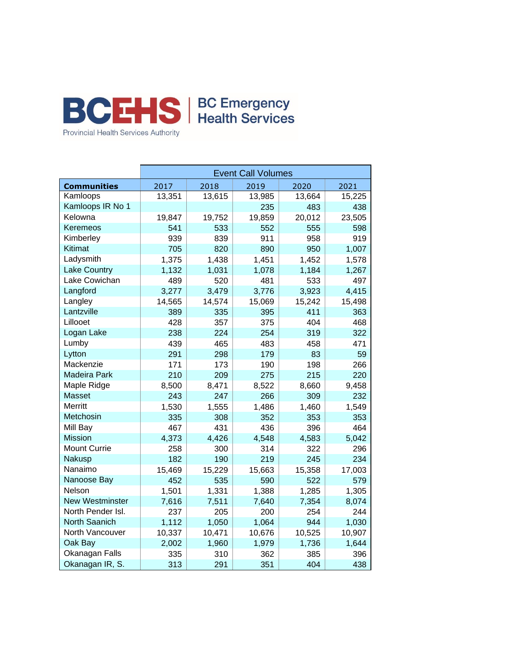

|                        | <b>Event Call Volumes</b> |        |        |        |        |  |
|------------------------|---------------------------|--------|--------|--------|--------|--|
| <b>Communities</b>     | 2017                      | 2018   | 2019   | 2020   | 2021   |  |
| Kamloops               | 13,351                    | 13,615 | 13,985 | 13,664 | 15,225 |  |
| Kamloops IR No 1       |                           |        | 235    | 483    | 438    |  |
| Kelowna                | 19,847                    | 19,752 | 19,859 | 20,012 | 23,505 |  |
| Keremeos               | 541                       | 533    | 552    | 555    | 598    |  |
| Kimberley              | 939                       | 839    | 911    | 958    | 919    |  |
| <b>Kitimat</b>         | 705                       | 820    | 890    | 950    | 1,007  |  |
| Ladysmith              | 1,375                     | 1,438  | 1,451  | 1,452  | 1,578  |  |
| <b>Lake Country</b>    | 1,132                     | 1,031  | 1,078  | 1,184  | 1,267  |  |
| Lake Cowichan          | 489                       | 520    | 481    | 533    | 497    |  |
| Langford               | 3,277                     | 3,479  | 3,776  | 3,923  | 4,415  |  |
| Langley                | 14,565                    | 14,574 | 15,069 | 15,242 | 15,498 |  |
| Lantzville             | 389                       | 335    | 395    | 411    | 363    |  |
| Lillooet               | 428                       | 357    | 375    | 404    | 468    |  |
| Logan Lake             | 238                       | 224    | 254    | 319    | 322    |  |
| Lumby                  | 439                       | 465    | 483    | 458    | 471    |  |
| Lytton                 | 291                       | 298    | 179    | 83     | 59     |  |
| Mackenzie              | 171                       | 173    | 190    | 198    | 266    |  |
| Madeira Park           | 210                       | 209    | 275    | 215    | 220    |  |
| Maple Ridge            | 8,500                     | 8,471  | 8,522  | 8,660  | 9,458  |  |
| <b>Masset</b>          | 243                       | 247    | 266    | 309    | 232    |  |
| <b>Merritt</b>         | 1,530                     | 1,555  | 1,486  | 1,460  | 1,549  |  |
| Metchosin              | 335                       | 308    | 352    | 353    | 353    |  |
| Mill Bay               | 467                       | 431    | 436    | 396    | 464    |  |
| <b>Mission</b>         | 4,373                     | 4,426  | 4,548  | 4,583  | 5,042  |  |
| <b>Mount Currie</b>    | 258                       | 300    | 314    | 322    | 296    |  |
| Nakusp                 | 182                       | 190    | 219    | 245    | 234    |  |
| Nanaimo                | 15,469                    | 15,229 | 15,663 | 15,358 | 17,003 |  |
| Nanoose Bay            | 452                       | 535    | 590    | 522    | 579    |  |
| Nelson                 | 1,501                     | 1,331  | 1,388  | 1,285  | 1,305  |  |
| <b>New Westminster</b> | 7,616                     | 7,511  | 7,640  | 7,354  | 8,074  |  |
| North Pender Isl.      | 237                       | 205    | 200    | 254    | 244    |  |
| North Saanich          | 1,112                     | 1,050  | 1,064  | 944    | 1,030  |  |
| North Vancouver        | 10,337                    | 10,471 | 10,676 | 10,525 | 10,907 |  |
| Oak Bay                | 2,002                     | 1,960  | 1,979  | 1,736  | 1,644  |  |
| Okanagan Falls         | 335                       | 310    | 362    | 385    | 396    |  |
| Okanagan IR, S.        | 313                       | 291    | 351    | 404    | 438    |  |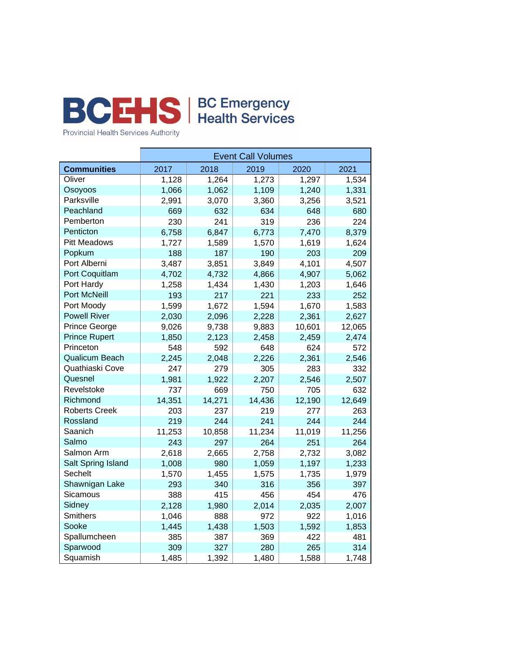

Provincial Health Services Authority

|                       | <b>Event Call Volumes</b> |        |        |        |        |  |
|-----------------------|---------------------------|--------|--------|--------|--------|--|
| <b>Communities</b>    | 2017                      | 2018   | 2019   | 2020   | 2021   |  |
| Oliver                | 1,128                     | 1,264  | 1,273  | 1,297  | 1,534  |  |
| Osoyoos               | 1,066                     | 1,062  | 1,109  | 1,240  | 1,331  |  |
| Parksville            | 2,991                     | 3,070  | 3,360  | 3,256  | 3,521  |  |
| Peachland             | 669                       | 632    | 634    | 648    | 680    |  |
| Pemberton             | 230                       | 241    | 319    | 236    | 224    |  |
| Penticton             | 6,758                     | 6,847  | 6,773  | 7,470  | 8,379  |  |
| <b>Pitt Meadows</b>   | 1,727                     | 1,589  | 1,570  | 1,619  | 1,624  |  |
| Popkum                | 188                       | 187    | 190    | 203    | 209    |  |
| Port Alberni          | 3,487                     | 3,851  | 3,849  | 4,101  | 4,507  |  |
| Port Coquitlam        | 4,702                     | 4,732  | 4,866  | 4,907  | 5,062  |  |
| Port Hardy            | 1,258                     | 1,434  | 1,430  | 1,203  | 1,646  |  |
| Port McNeill          | 193                       | 217    | 221    | 233    | 252    |  |
| Port Moody            | 1,599                     | 1,672  | 1,594  | 1,670  | 1,583  |  |
| <b>Powell River</b>   | 2,030                     | 2,096  | 2,228  | 2,361  | 2,627  |  |
| <b>Prince George</b>  | 9,026                     | 9,738  | 9,883  | 10,601 | 12,065 |  |
| <b>Prince Rupert</b>  | 1,850                     | 2,123  | 2,458  | 2,459  | 2,474  |  |
| Princeton             | 548                       | 592    | 648    | 624    | 572    |  |
| <b>Qualicum Beach</b> | 2,245                     | 2,048  | 2,226  | 2,361  | 2,546  |  |
| Quathiaski Cove       | 247                       | 279    | 305    | 283    | 332    |  |
| Quesnel               | 1,981                     | 1,922  | 2,207  | 2,546  | 2,507  |  |
| Revelstoke            | 737                       | 669    | 750    | 705    | 632    |  |
| Richmond              | 14,351                    | 14,271 | 14,436 | 12,190 | 12,649 |  |
| <b>Roberts Creek</b>  | 203                       | 237    | 219    | 277    | 263    |  |
| Rossland              | 219                       | 244    | 241    | 244    | 244    |  |
| Saanich               | 11,253                    | 10,858 | 11,234 | 11,019 | 11,256 |  |
| Salmo                 | 243                       | 297    | 264    | 251    | 264    |  |
| Salmon Arm            | 2,618                     | 2,665  | 2,758  | 2,732  | 3,082  |  |
| Salt Spring Island    | 1,008                     | 980    | 1,059  | 1,197  | 1,233  |  |
| Sechelt               | 1,570                     | 1,455  | 1,575  | 1,735  | 1,979  |  |
| Shawnigan Lake        | 293                       | 340    | 316    | 356    | 397    |  |
| Sicamous              | 388                       | 415    | 456    | 454    | 476    |  |
| Sidney                | 2,128                     | 1,980  | 2,014  | 2,035  | 2,007  |  |
| <b>Smithers</b>       | 1,046                     | 888    | 972    | 922    | 1,016  |  |
| Sooke                 | 1,445                     | 1,438  | 1,503  | 1,592  | 1,853  |  |
| Spallumcheen          | 385                       | 387    | 369    | 422    | 481    |  |
| Sparwood              | 309                       | 327    | 280    | 265    | 314    |  |
| Squamish              | 1,485                     | 1,392  | 1,480  | 1,588  | 1,748  |  |